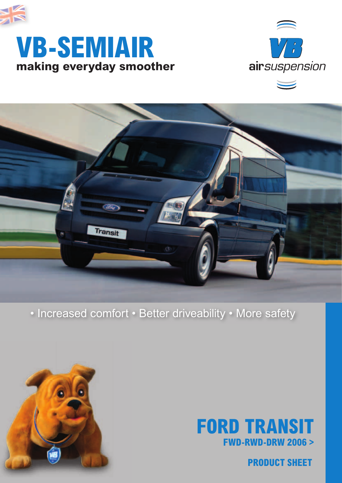

## **making everyday smoother VB-SEMIAIR**



 $\overline{\phantom{0}}$ 



### • Increased comfort • Better driveability • More safety





**PRODUCT SHEET**